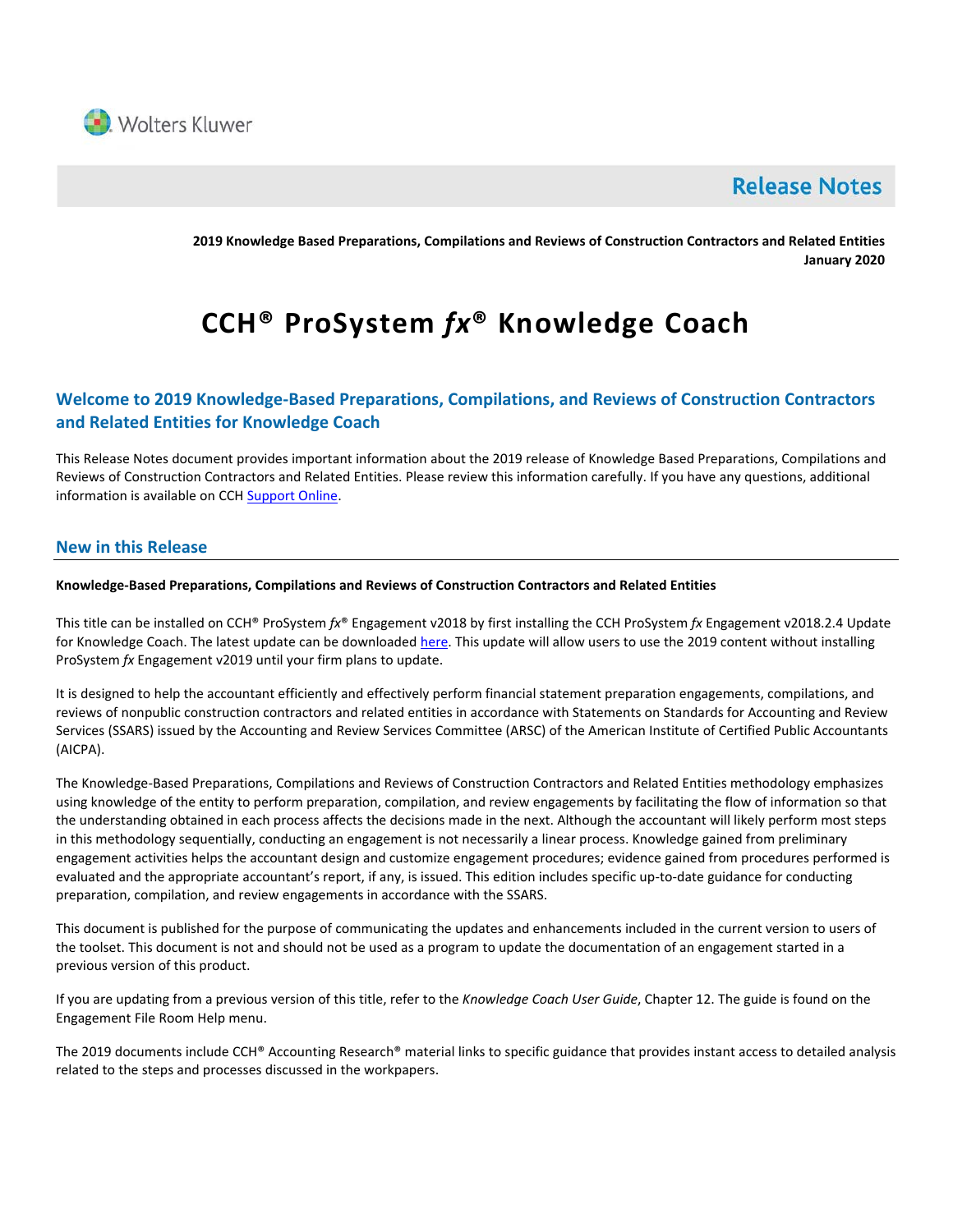

# **Release Notes**

**2019 Knowledge Based Preparations, Compilations and Reviews of Construction Contractors and Related Entities January 2020**

# **CCH® ProSystem** *fx***® Knowledge Coach**

# **Welcome to 2019 Knowledge-Based Preparations, Compilations, and Reviews of Construction Contractors and Related Entities for Knowledge Coach**

This Release Notes document provides important information about the 2019 release of Knowledge Based Preparations, Compilations and Reviews of Construction Contractors and Related Entities. Please review this information carefully. If you have any questions, additional information is available on CCH [Support Online.](http://support.cch.com/productsupport/)

# **New in this Release**

# **Knowledge-Based Preparations, Compilations and Reviews of Construction Contractors and Related Entities**

This title can be installed on CCH® ProSystem *fx*® Engagement v2018 by first installing the CCH ProSystem *fx* Engagement v2018.2.4 Update for Knowledge Coach. The latest update can be downloaded [here.](https://support.cch.com/updates/Engagement/release2018/release2018.aspx) This update will allow users to use the 2019 content without installing ProSystem *fx* Engagement v2019 until your firm plans to update.

It is designed to help the accountant efficiently and effectively perform financial statement preparation engagements, compilations, and reviews of nonpublic construction contractors and related entities in accordance with Statements on Standards for Accounting and Review Services (SSARS) issued by the Accounting and Review Services Committee (ARSC) of the American Institute of Certified Public Accountants (AICPA).

The Knowledge-Based Preparations, Compilations and Reviews of Construction Contractors and Related Entities methodology emphasizes using knowledge of the entity to perform preparation, compilation, and review engagements by facilitating the flow of information so that the understanding obtained in each process affects the decisions made in the next. Although the accountant will likely perform most steps in this methodology sequentially, conducting an engagement is not necessarily a linear process. Knowledge gained from preliminary engagement activities helps the accountant design and customize engagement procedures; evidence gained from procedures performed is evaluated and the appropriate accountant's report, if any, is issued. This edition includes specific up-to-date guidance for conducting preparation, compilation, and review engagements in accordance with the SSARS.

This document is published for the purpose of communicating the updates and enhancements included in the current version to users of the toolset. This document is not and should not be used as a program to update the documentation of an engagement started in a previous version of this product.

If you are updating from a previous version of this title, refer to the *Knowledge Coach User Guide*, Chapter 12. The guide is found on the Engagement File Room Help menu.

The 2019 documents include CCH® Accounting Research® material links to specific guidance that provides instant access to detailed analysis related to the steps and processes discussed in the workpapers.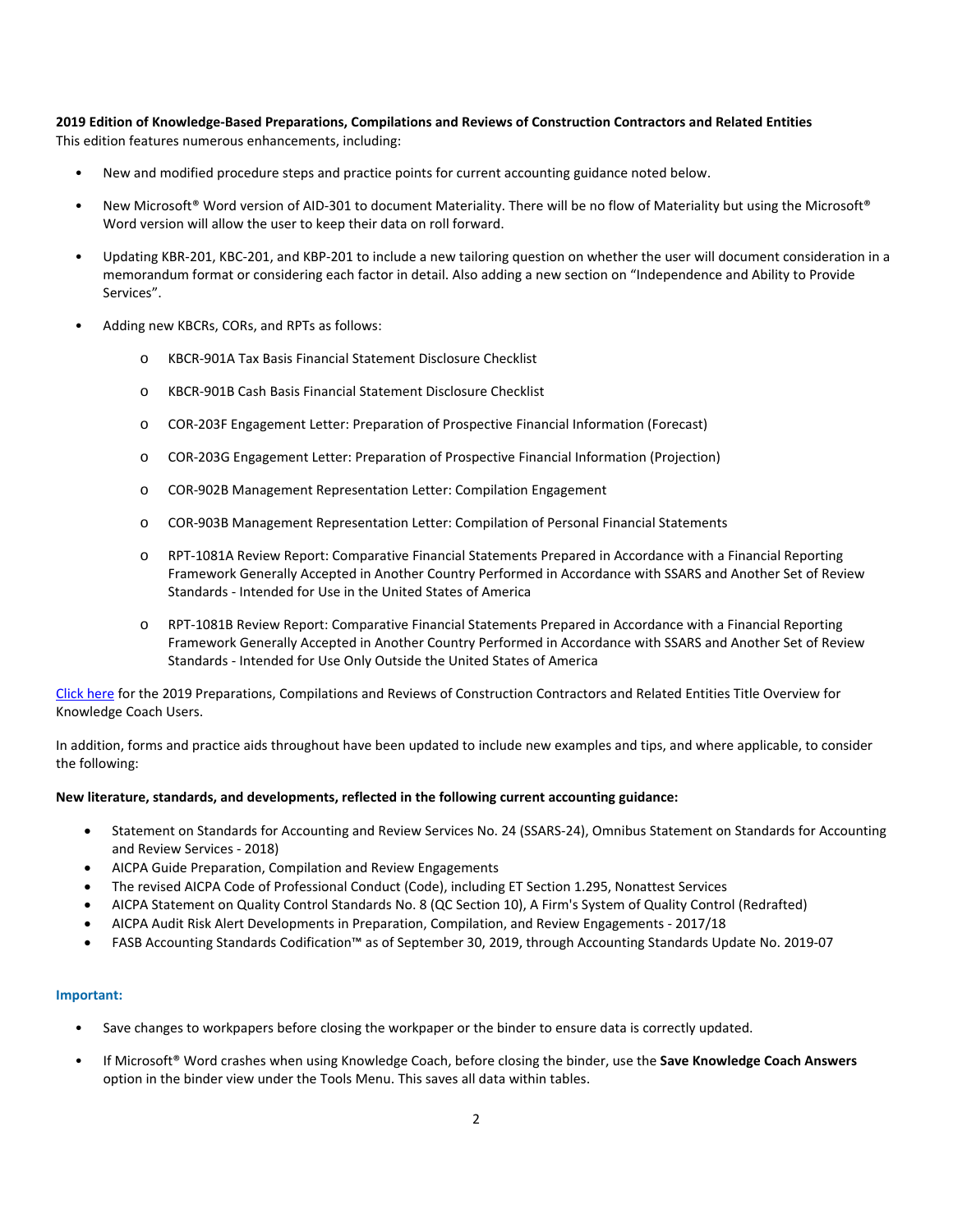# **2019 Edition of Knowledge-Based Preparations, Compilations and Reviews of Construction Contractors and Related Entities** This edition features numerous enhancements, including:

- New and modified procedure steps and practice points for current accounting guidance noted below.
- New Microsoft® Word version of AID-301 to document Materiality. There will be no flow of Materiality but using the Microsoft® Word version will allow the user to keep their data on roll forward.
- Updating KBR-201, KBC-201, and KBP-201 to include a new tailoring question on whether the user will document consideration in a memorandum format or considering each factor in detail. Also adding a new section on "Independence and Ability to Provide Services".
- Adding new KBCRs, CORs, and RPTs as follows:
	- o KBCR-901A Tax Basis Financial Statement Disclosure Checklist
	- o KBCR-901B Cash Basis Financial Statement Disclosure Checklist
	- o COR-203F Engagement Letter: Preparation of Prospective Financial Information (Forecast)
	- o COR-203G Engagement Letter: Preparation of Prospective Financial Information (Projection)
	- o COR-902B Management Representation Letter: Compilation Engagement
	- o COR-903B Management Representation Letter: Compilation of Personal Financial Statements
	- o RPT-1081A Review Report: Comparative Financial Statements Prepared in Accordance with a Financial Reporting Framework Generally Accepted in Another Country Performed in Accordance with SSARS and Another Set of Review Standards - Intended for Use in the United States of America
	- o RPT-1081B Review Report: Comparative Financial Statements Prepared in Accordance with a Financial Reporting Framework Generally Accepted in Another Country Performed in Accordance with SSARS and Another Set of Review Standards - Intended for Use Only Outside the United States of America

[Click here](http://support.cch.com/updates/KnowledgeCoach/pdf/guides_tab/2019%20Construction%20Entities%20PCR%20Title%20Overview%20for%20Knowledge%20Coach%20Users.pdf) for the 2019 Preparations, Compilations and Reviews of Construction Contractors and Related Entities Title Overview for Knowledge Coach Users.

In addition, forms and practice aids throughout have been updated to include new examples and tips, and where applicable, to consider the following:

#### **New literature, standards, and developments, reflected in the following current accounting guidance:**

- Statement on Standards for Accounting and Review Services No. 24 (SSARS-24), Omnibus Statement on Standards for Accounting and Review Services - 2018)
- AICPA Guide Preparation, Compilation and Review Engagements
- The revised AICPA Code of Professional Conduct (Code), including ET Section 1.295, Nonattest Services
- AICPA Statement on Quality Control Standards No. 8 (QC Section 10), A Firm's System of Quality Control (Redrafted)
- AICPA Audit Risk Alert Developments in Preparation, Compilation, and Review Engagements 2017/18
- FASB Accounting Standards Codification™ as of September 30, 2019, through Accounting Standards Update No. 2019-07

### **Important:**

- Save changes to workpapers before closing the workpaper or the binder to ensure data is correctly updated.
- If Microsoft® Word crashes when using Knowledge Coach, before closing the binder, use the **Save Knowledge Coach Answers** option in the binder view under the Tools Menu. This saves all data within tables.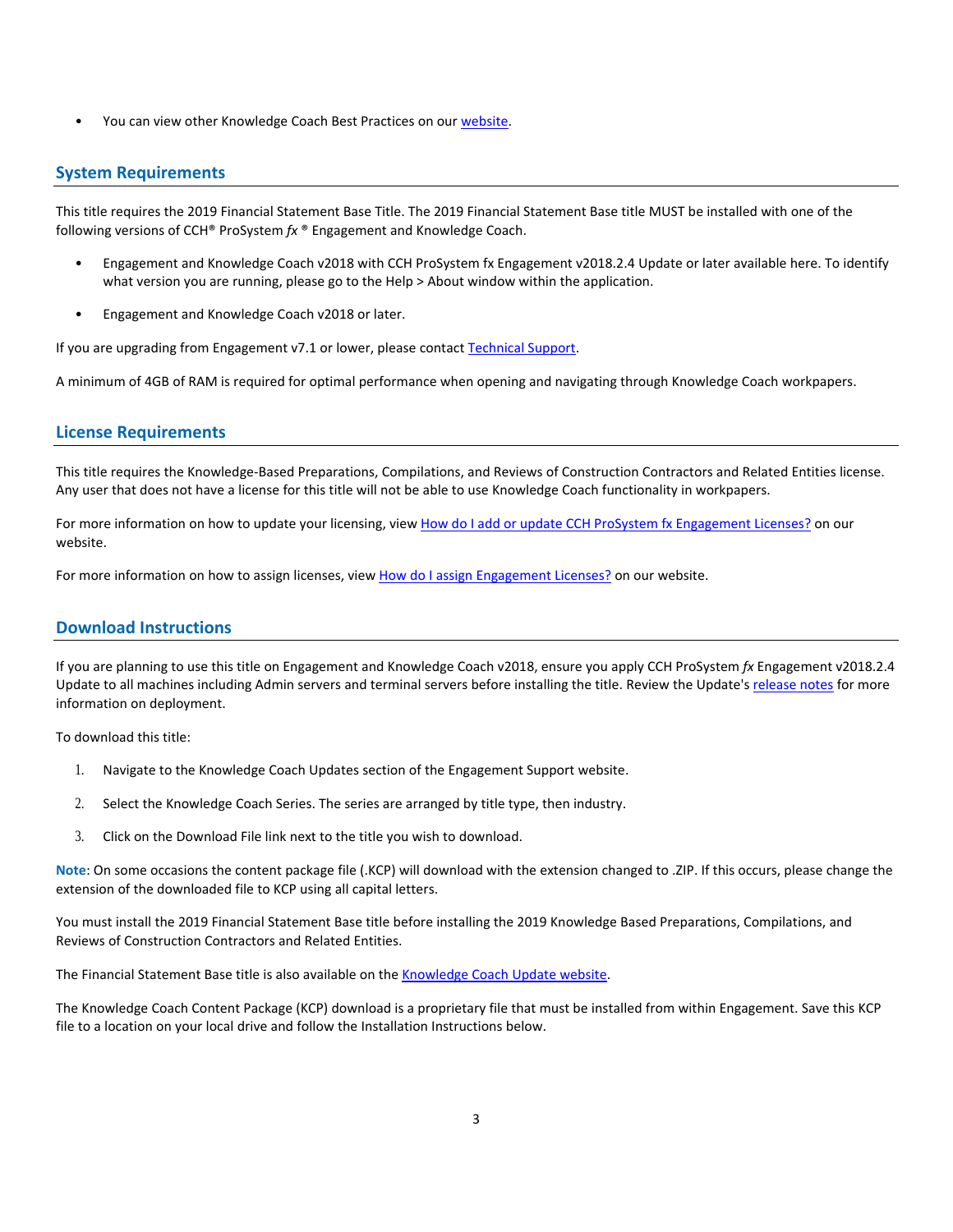You can view other Knowledge Coach Best Practices on ou[r website.](https://support.cch.com/kb/solution/000034942/sw34947)

# **System Requirements**

This title requires the 2019 Financial Statement Base Title. The 2019 Financial Statement Base title MUST be installed with one of the following versions of CCH® ProSystem *fx* ® Engagement and Knowledge Coach.

- Engagement and Knowledge Coach v2018 with CCH ProSystem fx Engagement v2018.2.4 Update or later available [here.](https://support.cch.com/updates/Engagement/release2018/release2018.aspx) To identify what version you are running, please go to the Help > About window within the application.
- Engagement and Knowledge Coach v2018 or later.

If you are upgrading from Engagement v7.1 or lower, please contact [Technical Support.](https://support.cch.com/contact)

A minimum of 4GB of RAM is required for optimal performance when opening and navigating through Knowledge Coach workpapers.

# **License Requirements**

This title requires the Knowledge-Based Preparations, Compilations, and Reviews of Construction Contractors and Related Entities license. Any user that does not have a license for this title will not be able to use Knowledge Coach functionality in workpapers.

For more information on how to update your licensing, vie[w How do I add or update CCH ProSystem fx Engagement Licenses?](https://support.cch.com/kb/solution.aspx/sw3937) on our website.

For more information on how to assign licenses, view [How do I assign Engagement Licenses?](https://support.cch.com/kb/solution.aspx/sw3943) on our website.

# **Download Instructions**

If you are planning to use this title on Engagement and Knowledge Coach v2018, ensure you apply CCH ProSystem *fx* Engagement v2018.2.4 Update to all machines including Admin servers and terminal servers before installing the title. Review the Update's [release notes](https://d2iceilwdglxpz.cloudfront.net/release_notes/CCH%20ProSystem%20fx%20Engagement%202018.2.4%20Release%20Notes.pdf) for more information on deployment.

To download this title:

- 1. Navigate to the [Knowledge Coach Updates](http://support.cch.com/updates/KnowledgeCoach) section of the Engagement Support website.
- 2. Select the Knowledge Coach Series. The series are arranged by title type, then industry.
- 3. Click on the Download File link next to the title you wish to download.

**Note**: On some occasions the content package file (.KCP) will download with the extension changed to .ZIP. If this occurs, please change the extension of the downloaded file to KCP using all capital letters.

You must install the 2019 Financial Statement Base title before installing the 2019 Knowledge Based Preparations, Compilations, and Reviews of Construction Contractors and Related Entities.

The Financial Statement Base title is also available on th[e Knowledge Coach Update website.](http://support.cch.com/updates/KnowledgeCoach)

The Knowledge Coach Content Package (KCP) download is a proprietary file that must be installed from within Engagement. Save this KCP file to a location on your local drive and follow the Installation Instructions below.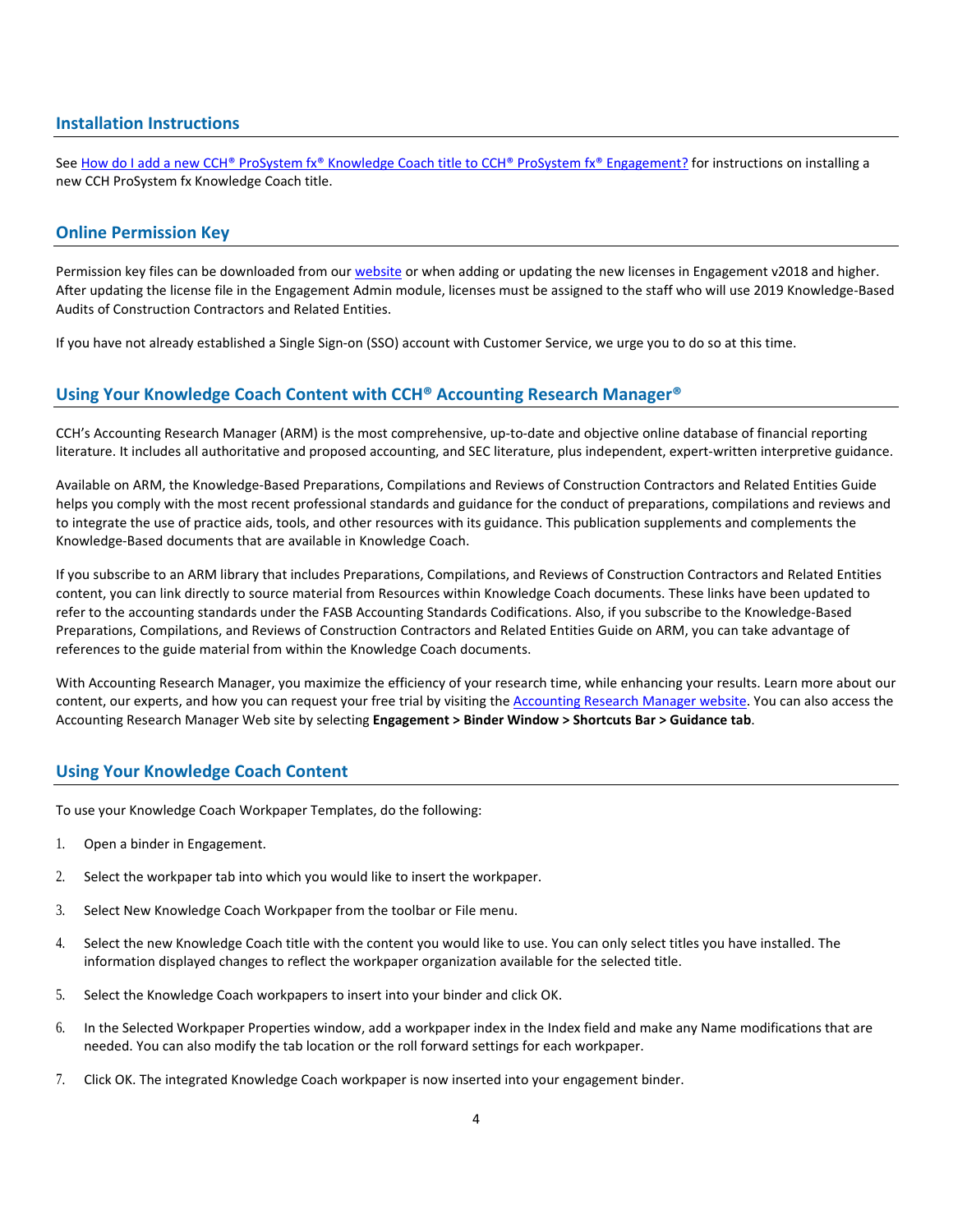# **Installation Instructions**

See [How do I add a new CCH® ProSystem fx® Knowledge Coach title to CCH® ProSystem fx® Engagement?](https://support.cch.com/kb/solution/000033707/sw30271) for instructions on installing a new CCH ProSystem fx Knowledge Coach title.

#### **Online Permission Key**

Permission key files can be downloaded from our [website](https://prosystemfxsupport.tax.cchgroup.com/permkey/download.aspx) or when adding or updating the new licenses in Engagement v2018 and higher. After updating the license file in the Engagement Admin module, licenses must be assigned to the staff who will use 2019 Knowledge-Based Audits of Construction Contractors and Related Entities.

If you have not already established a Single Sign-on (SSO) account with Customer Service, we urge you to do so at this time.

# **Using Your Knowledge Coach Content with CCH® Accounting Research Manager®**

CCH's Accounting Research Manager (ARM) is the most comprehensive, up-to-date and objective online database of financial reporting literature. It includes all authoritative and proposed accounting, and SEC literature, plus independent, expert-written interpretive guidance.

Available on ARM, the Knowledge-Based Preparations, Compilations and Reviews of Construction Contractors and Related Entities Guide helps you comply with the most recent professional standards and guidance for the conduct of preparations, compilations and reviews and to integrate the use of practice aids, tools, and other resources with its guidance. This publication supplements and complements the Knowledge-Based documents that are available in Knowledge Coach.

If you subscribe to an ARM library that includes Preparations, Compilations, and Reviews of Construction Contractors and Related Entities content, you can link directly to source material from Resources within Knowledge Coach documents. These links have been updated to refer to the accounting standards under the FASB Accounting Standards Codifications. Also, if you subscribe to the Knowledge-Based Preparations, Compilations, and Reviews of Construction Contractors and Related Entities Guide on ARM, you can take advantage of references to the guide material from within the Knowledge Coach documents.

With Accounting Research Manager, you maximize the efficiency of your research time, while enhancing your results. Learn more about our content, our experts, and how you can request your free trial by visiting the [Accounting Research Manager website.](http://www.accountingresearchmanager.com/) You can also access the Accounting Research Manager Web site by selecting **Engagement > Binder Window > Shortcuts Bar > Guidance tab**.

# **Using Your Knowledge Coach Content**

To use your Knowledge Coach Workpaper Templates, do the following:

- 1. Open a binder in Engagement.
- 2. Select the workpaper tab into which you would like to insert the workpaper.
- 3. Select New Knowledge Coach Workpaper from the toolbar or File menu.
- 4. Select the new Knowledge Coach title with the content you would like to use. You can only select titles you have installed. The information displayed changes to reflect the workpaper organization available for the selected title.
- 5. Select the Knowledge Coach workpapers to insert into your binder and click OK.
- 6. In the Selected Workpaper Properties window, add a workpaper index in the Index field and make any Name modifications that are needed. You can also modify the tab location or the roll forward settings for each workpaper.
- 7. Click OK. The integrated Knowledge Coach workpaper is now inserted into your engagement binder.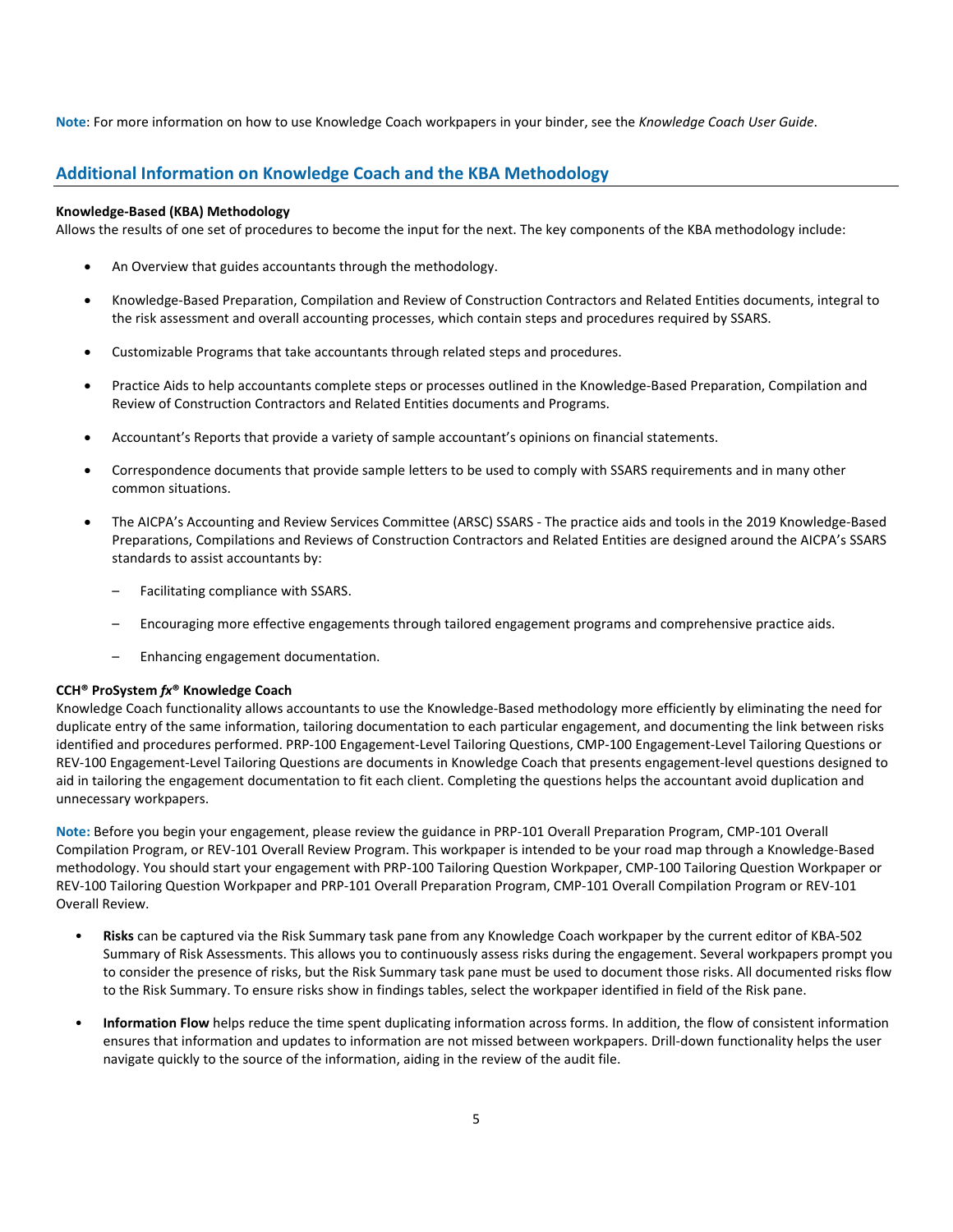**Note**: For more information on how to use Knowledge Coach workpapers in your binder, see the *Knowledge Coach User Guide*.

# **Additional Information on Knowledge Coach and the KBA Methodology**

### **Knowledge-Based (KBA) Methodology**

Allows the results of one set of procedures to become the input for the next. The key components of the KBA methodology include:

- An Overview that guides accountants through the methodology.
- Knowledge-Based Preparation, Compilation and Review of Construction Contractors and Related Entities documents, integral to the risk assessment and overall accounting processes, which contain steps and procedures required by SSARS.
- Customizable Programs that take accountants through related steps and procedures.
- Practice Aids to help accountants complete steps or processes outlined in the Knowledge-Based Preparation, Compilation and Review of Construction Contractors and Related Entities documents and Programs.
- Accountant's Reports that provide a variety of sample accountant's opinions on financial statements.
- Correspondence documents that provide sample letters to be used to comply with SSARS requirements and in many other common situations.
- The AICPA's Accounting and Review Services Committee (ARSC) SSARS The practice aids and tools in the 2019 Knowledge-Based Preparations, Compilations and Reviews of Construction Contractors and Related Entities are designed around the AICPA's SSARS standards to assist accountants by:
	- Facilitating compliance with SSARS.
	- Encouraging more effective engagements through tailored engagement programs and comprehensive practice aids.
	- Enhancing engagement documentation.

#### **CCH® ProSystem** *fx***® Knowledge Coach**

Knowledge Coach functionality allows accountants to use the Knowledge-Based methodology more efficiently by eliminating the need for duplicate entry of the same information, tailoring documentation to each particular engagement, and documenting the link between risks identified and procedures performed. PRP-100 Engagement-Level Tailoring Questions, CMP-100 Engagement-Level Tailoring Questions or REV-100 Engagement-Level Tailoring Questions are documents in Knowledge Coach that presents engagement-level questions designed to aid in tailoring the engagement documentation to fit each client. Completing the questions helps the accountant avoid duplication and unnecessary workpapers.

**Note:** Before you begin your engagement, please review the guidance in PRP-101 Overall Preparation Program, CMP-101 Overall Compilation Program, or REV-101 Overall Review Program. This workpaper is intended to be your road map through a Knowledge-Based methodology. You should start your engagement with PRP-100 Tailoring Question Workpaper, CMP-100 Tailoring Question Workpaper or REV-100 Tailoring Question Workpaper and PRP-101 Overall Preparation Program, CMP-101 Overall Compilation Program or REV-101 Overall Review.

- **Risks** can be captured via the Risk Summary task pane from any Knowledge Coach workpaper by the current editor of KBA-502 Summary of Risk Assessments. This allows you to continuously assess risks during the engagement. Several workpapers prompt you to consider the presence of risks, but the Risk Summary task pane must be used to document those risks. All documented risks flow to the Risk Summary. To ensure risks show in findings tables, select the workpaper identified in field of the Risk pane.
- **Information Flow** helps reduce the time spent duplicating information across forms. In addition, the flow of consistent information ensures that information and updates to information are not missed between workpapers. Drill-down functionality helps the user navigate quickly to the source of the information, aiding in the review of the audit file.